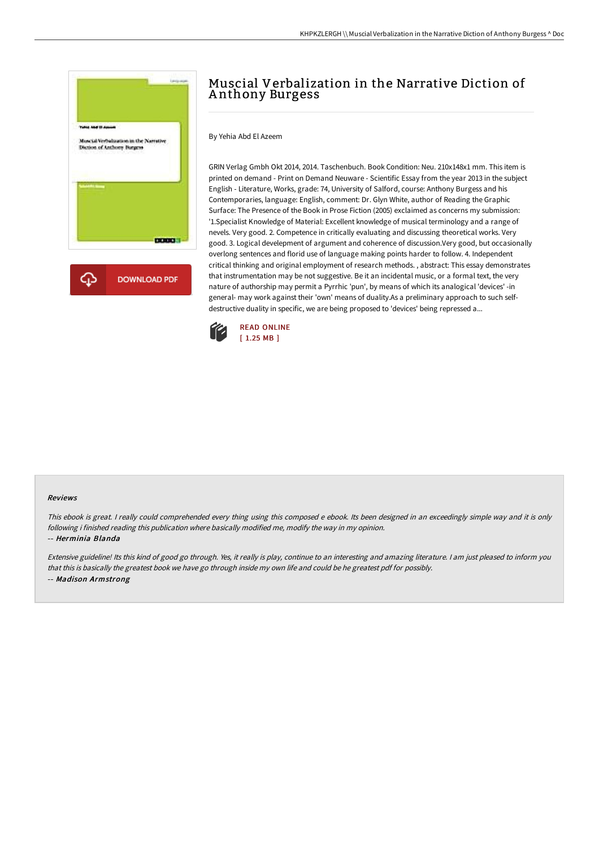

# Muscial Verbalization in the Narrative Diction of A nthony Burgess

By Yehia Abd El Azeem

GRIN Verlag Gmbh Okt 2014, 2014. Taschenbuch. Book Condition: Neu. 210x148x1 mm. This item is printed on demand - Print on Demand Neuware - Scientific Essay from the year 2013 in the subject English - Literature, Works, grade: 74, University of Salford, course: Anthony Burgess and his Contemporaries, language: English, comment: Dr. Glyn White, author of Reading the Graphic Surface: The Presence of the Book in Prose Fiction (2005) exclaimed as concerns my submission: '1.Specialist Knowledge of Material: Excellent knowledge of musical terminology and a range of nevels. Very good. 2. Competence in critically evaluating and discussing theoretical works. Very good. 3. Logical develepment of argument and coherence of discussion.Very good, but occasionally overlong sentences and florid use of language making points harder to follow. 4. Independent critical thinking and original employment of research methods. , abstract: This essay demonstrates that instrumentation may be not suggestive. Be it an incidental music, or a formal text, the very nature of authorship may permit a Pyrrhic 'pun', by means of which its analogical 'devices' -in general- may work against their 'own' means of duality.As a preliminary approach to such selfdestructive duality in specific, we are being proposed to 'devices' being repressed a...



#### Reviews

This ebook is great. I really could comprehended every thing using this composed <sup>e</sup> ebook. Its been designed in an exceedingly simple way and it is only following i finished reading this publication where basically modified me, modify the way in my opinion.

#### -- Herminia Blanda

Extensive guideline! Its this kind of good go through. Yes, it really is play, continue to an interesting and amazing literature. <sup>I</sup> am just pleased to inform you that this is basically the greatest book we have go through inside my own life and could be he greatest pdf for possibly. -- Madison Armstrong